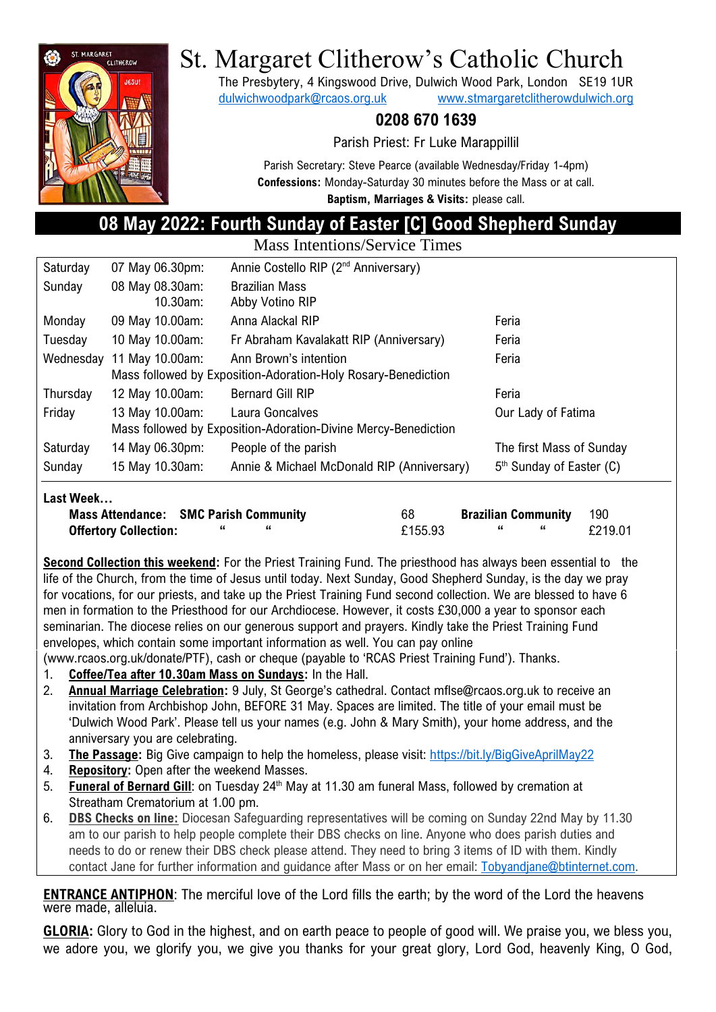

# St. Margaret Clitherow's Catholic Church

The Presbytery, 4 Kingswood Drive, Dulwich Wood Park, London SE19 1UR [dulwichwoodpark@rcaos.org.uk](mailto:dulwichwoodpark@rcaos.org.uk) [www.stmargaretclitherowdulwich.org](http://www.stmargaretclitherowdulwich.org/)

## **0208 670 1639**

Parish Priest: Fr Luke Marappillil

Parish Secretary: Steve Pearce (available Wednesday/Friday 1-4pm) **Confessions:** Monday-Saturday 30 minutes before the Mass or at call. **Baptism, Marriages & Visits:** please call.

# **08 May 2022: Fourth Sunday of Easter [C] Good Shepherd Sunday**

Mass Intentions/Service Times

| Saturday  | 07 May 06.30pm:                                                | Annie Costello RIP (2 <sup>nd</sup> Anniversary) |                                      |  |  |  |
|-----------|----------------------------------------------------------------|--------------------------------------------------|--------------------------------------|--|--|--|
| Sunday    | 08 May 08.30am:                                                | <b>Brazilian Mass</b>                            |                                      |  |  |  |
|           | 10.30am:                                                       | Abby Votino RIP                                  |                                      |  |  |  |
| Monday    | 09 May 10.00am:                                                | Anna Alackal RIP                                 | Feria                                |  |  |  |
| Tuesday   | 10 May 10.00am:                                                | Fr Abraham Kavalakatt RIP (Anniversary)          | Feria                                |  |  |  |
| Wednesday | 11 May 10.00am:                                                | Ann Brown's intention                            | Feria                                |  |  |  |
|           | Mass followed by Exposition-Adoration-Holy Rosary-Benediction  |                                                  |                                      |  |  |  |
| Thursday  | 12 May 10.00am:                                                | <b>Bernard Gill RIP</b>                          | Feria                                |  |  |  |
| Friday    | 13 May 10.00am:                                                | Laura Goncalves                                  | Our Lady of Fatima                   |  |  |  |
|           | Mass followed by Exposition-Adoration-Divine Mercy-Benediction |                                                  |                                      |  |  |  |
| Saturday  | 14 May 06.30pm:                                                | People of the parish                             | The first Mass of Sunday             |  |  |  |
| Sunday    | 15 May 10.30am:                                                | Annie & Michael McDonald RIP (Anniversary)       | 5 <sup>th</sup> Sunday of Easter (C) |  |  |  |
|           |                                                                |                                                  |                                      |  |  |  |

#### **Last Week…**

| <b>Mass Attendance: SMC Parish Community</b> | 68      | <b>Brazilian Community</b> | 190     |
|----------------------------------------------|---------|----------------------------|---------|
| <b>Offertory Collection:</b>                 | £155.93 |                            | £219.01 |

**Second Collection this weekend:** For the Priest Training Fund. The priesthood has always been essential to the life of the Church, from the time of Jesus until today. Next Sunday, Good Shepherd Sunday, is the day we pray for vocations, for our priests, and take up the Priest Training Fund second collection. We are blessed to have 6 men in formation to the Priesthood for our Archdiocese. However, it costs £30,000 a year to sponsor each seminarian. The diocese relies on our generous support and prayers. Kindly take the Priest Training Fund envelopes, which contain some important information as well. You can pay online

(www.rcaos.org.uk/donate/PTF), cash or cheque (payable to 'RCAS Priest Training Fund'). Thanks.

- 1. **Coffee/Tea after 10.30am Mass on Sundays:** In the Hall.
- 2. **Annual Marriage Celebration:** 9 July, St George's cathedral. Contact mflse@rcaos.org.uk to receive an invitation from Archbishop John, BEFORE 31 May. Spaces are limited. The title of your email must be 'Dulwich Wood Park'. Please tell us your names (e.g. John & Mary Smith), your home address, and the anniversary you are celebrating.
- 3. **The Passage:** Big Give campaign to help the homeless, please visit:<https://bit.ly/BigGiveAprilMay22>
- 4. **Repository:** Open after the weekend Masses.
- 5. **Funeral of Bernard Gill**: on Tuesday 24<sup>th</sup> May at 11.30 am funeral Mass, followed by cremation at Streatham Crematorium at 1.00 pm.
- 6. **DBS Checks on line:** Diocesan Safeguarding representatives will be coming on Sunday 22nd May by 11.30 am to our parish to help people complete their DBS checks on line. Anyone who does parish duties and needs to do or renew their DBS check please attend. They need to bring 3 items of ID with them. Kindly contact Jane for further information and guidance after Mass or on her email: [Tobyandjane@btinternet.com.](mailto:Tobyandjane@btinternet.com)

#### **ENTRANCE ANTIPHON**: The merciful love of the Lord fills the earth; by the word of the Lord the heavens were made, alleluia.

**GLORIA:** Glory to God in the highest, and on earth peace to people of good will. We praise you, we bless you, we adore you, we glorify you, we give you thanks for your great glory, Lord God, heavenly King, O God,